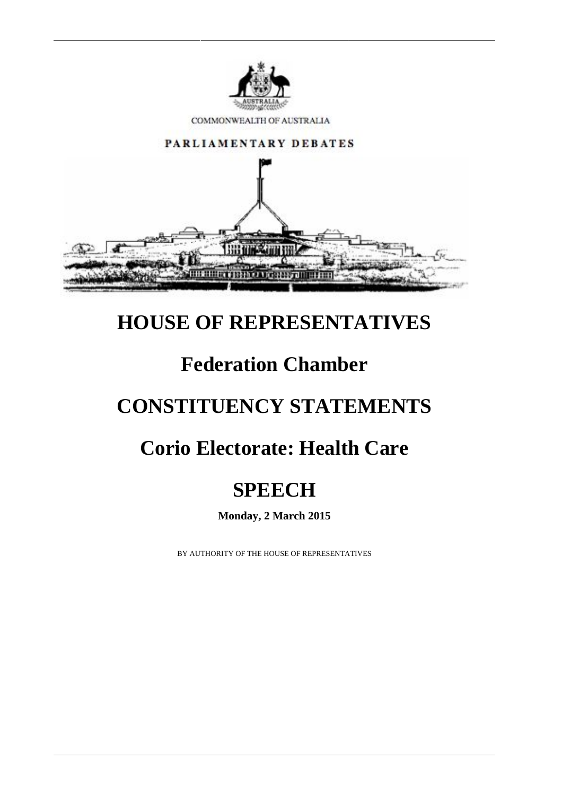

COMMONWEALTH OF AUSTRALIA



#### **HOUSE OF REPRESENTATIVES**

# **Federation Chamber**

# **CONSTITUENCY STATEMENTS**

# **Corio Electorate: Health Care**

# **SPEECH**

**Monday, 2 March 2015**

BY AUTHORITY OF THE HOUSE OF REPRESENTATIVES